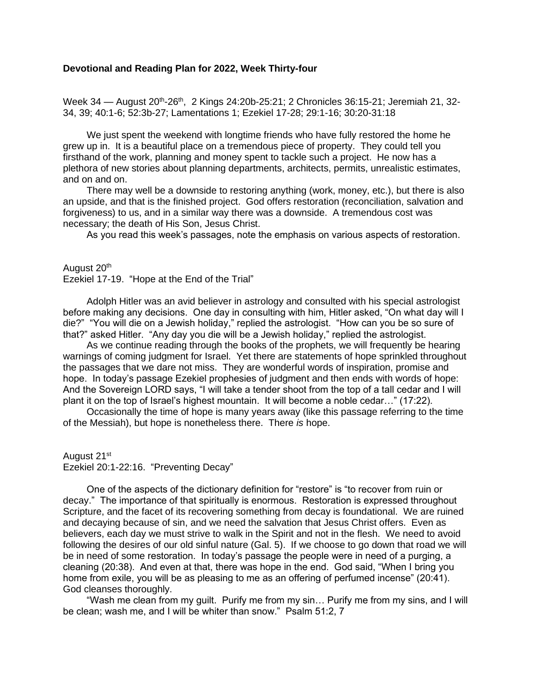## **Devotional and Reading Plan for 2022, Week Thirty-four**

Week 34 — August 20<sup>th</sup>-26<sup>th</sup>, 2 Kings 24:20b-25:21; 2 Chronicles 36:15-21; Jeremiah 21, 32-34, 39; 40:1-6; 52:3b-27; Lamentations 1; Ezekiel 17-28; 29:1-16; 30:20-31:18

We just spent the weekend with longtime friends who have fully restored the home he grew up in. It is a beautiful place on a tremendous piece of property. They could tell you firsthand of the work, planning and money spent to tackle such a project. He now has a plethora of new stories about planning departments, architects, permits, unrealistic estimates, and on and on.

There may well be a downside to restoring anything (work, money, etc.), but there is also an upside, and that is the finished project. God offers restoration (reconciliation, salvation and forgiveness) to us, and in a similar way there was a downside. A tremendous cost was necessary; the death of His Son, Jesus Christ.

As you read this week's passages, note the emphasis on various aspects of restoration.

August 20<sup>th</sup>

Ezekiel 17-19. "Hope at the End of the Trial"

Adolph Hitler was an avid believer in astrology and consulted with his special astrologist before making any decisions. One day in consulting with him, Hitler asked, "On what day will I die?" "You will die on a Jewish holiday," replied the astrologist. "How can you be so sure of that?" asked Hitler. "Any day you die will be a Jewish holiday," replied the astrologist.

As we continue reading through the books of the prophets, we will frequently be hearing warnings of coming judgment for Israel. Yet there are statements of hope sprinkled throughout the passages that we dare not miss. They are wonderful words of inspiration, promise and hope. In today's passage Ezekiel prophesies of judgment and then ends with words of hope: And the Sovereign LORD says, "I will take a tender shoot from the top of a tall cedar and I will plant it on the top of Israel's highest mountain. It will become a noble cedar…" (17:22).

Occasionally the time of hope is many years away (like this passage referring to the time of the Messiah), but hope is nonetheless there. There *is* hope.

August 21st Ezekiel 20:1-22:16. "Preventing Decay"

One of the aspects of the dictionary definition for "restore" is "to recover from ruin or decay." The importance of that spiritually is enormous. Restoration is expressed throughout Scripture, and the facet of its recovering something from decay is foundational. We are ruined and decaying because of sin, and we need the salvation that Jesus Christ offers. Even as believers, each day we must strive to walk in the Spirit and not in the flesh. We need to avoid following the desires of our old sinful nature (Gal. 5). If we choose to go down that road we will be in need of some restoration. In today's passage the people were in need of a purging, a cleaning (20:38). And even at that, there was hope in the end. God said, "When I bring you home from exile, you will be as pleasing to me as an offering of perfumed incense" (20:41). God cleanses thoroughly.

"Wash me clean from my guilt. Purify me from my sin… Purify me from my sins, and I will be clean; wash me, and I will be whiter than snow." Psalm 51:2, 7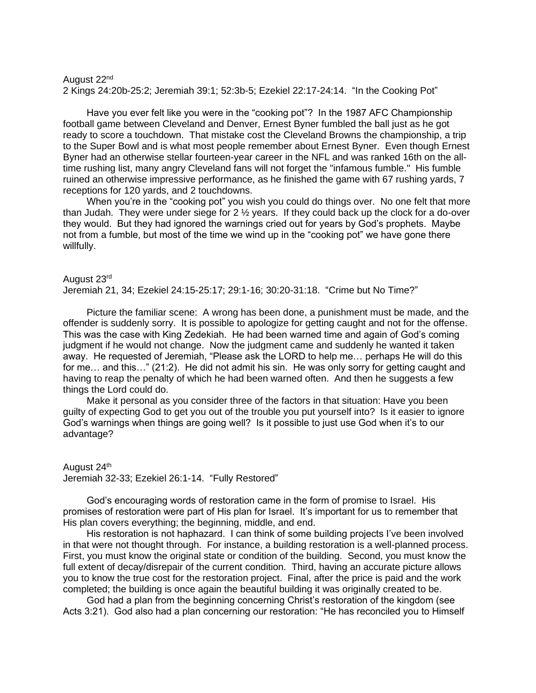August 22nd 2 Kings 24:20b-25:2; Jeremiah 39:1; 52:3b-5; Ezekiel 22:17-24:14. "In the Cooking Pot"

Have you ever felt like you were in the "cooking pot"? In the 1987 AFC Championship football game between Cleveland and Denver, Ernest Byner fumbled the ball just as he got ready to score a touchdown. That mistake cost the Cleveland Browns the championship, a trip to the Super Bowl and is what most people remember about Ernest Byner. Even though Ernest Byner had an otherwise stellar fourteen-year career in the NFL and was ranked 16th on the alltime rushing list, many angry Cleveland fans will not forget the "infamous fumble." His fumble ruined an otherwise impressive performance, as he finished the game with 67 rushing yards, 7 receptions for 120 yards, and 2 touchdowns.

When you're in the "cooking pot" you wish you could do things over. No one felt that more than Judah. They were under siege for  $2\frac{1}{2}$  years. If they could back up the clock for a do-over they would. But they had ignored the warnings cried out for years by God's prophets. Maybe not from a fumble, but most of the time we wind up in the "cooking pot" we have gone there willfully.

August 23rd Jeremiah 21, 34; Ezekiel 24:15-25:17; 29:1-16; 30:20-31:18. "Crime but No Time?"

Picture the familiar scene: A wrong has been done, a punishment must be made, and the offender is suddenly sorry. It is possible to apologize for getting caught and not for the offense. This was the case with King Zedekiah. He had been warned time and again of God's coming judgment if he would not change. Now the judgment came and suddenly he wanted it taken away. He requested of Jeremiah, "Please ask the LORD to help me… perhaps He will do this for me… and this…" (21:2). He did not admit his sin. He was only sorry for getting caught and having to reap the penalty of which he had been warned often. And then he suggests a few things the Lord could do.

Make it personal as you consider three of the factors in that situation: Have you been guilty of expecting God to get you out of the trouble you put yourself into? Is it easier to ignore God's warnings when things are going well? Is it possible to just use God when it's to our advantage?

August 24<sup>th</sup> Jeremiah 32-33; Ezekiel 26:1-14. "Fully Restored"

God's encouraging words of restoration came in the form of promise to Israel. His promises of restoration were part of His plan for Israel. It's important for us to remember that His plan covers everything; the beginning, middle, and end.

His restoration is not haphazard. I can think of some building projects I've been involved in that were not thought through. For instance, a building restoration is a well-planned process. First, you must know the original state or condition of the building. Second, you must know the full extent of decay/disrepair of the current condition. Third, having an accurate picture allows you to know the true cost for the restoration project. Final, after the price is paid and the work completed; the building is once again the beautiful building it was originally created to be.

God had a plan from the beginning concerning Christ's restoration of the kingdom (see Acts 3:21). God also had a plan concerning our restoration: "He has reconciled you to Himself